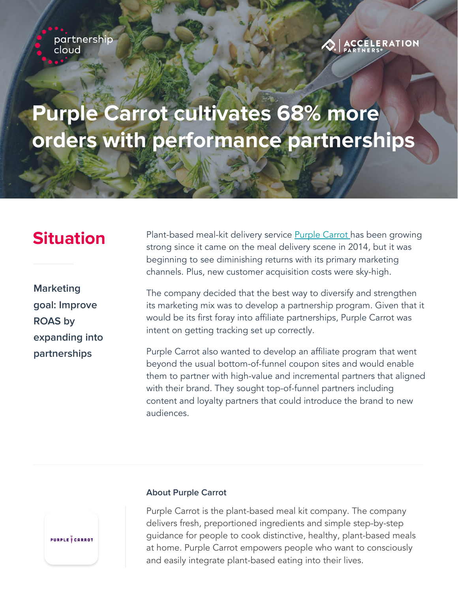partnership cloud



## **Purple Carrot cultivates 68% more orders with performance partnerships**

**Marketing goal: Improve ROAS by expanding into partnerships**

**Situation** Plant-based meal-kit delivery service **Purple Carrot** has been growing strong since it came on the meal delivery scene in 2014, but it was beginning to see diminishing returns with its primary marketing channels. Plus, new customer acquisition costs were sky-high.

> The company decided that the best way to diversify and strengthen its marketing mix was to develop a partnership program. Given that it would be its first foray into affiliate partnerships, Purple Carrot was intent on getting tracking set up correctly.

> Purple Carrot also wanted to develop an affiliate program that went beyond the usual bottom-of-funnel coupon sites and would enable them to partner with high-value and incremental partners that aligned with their brand. They sought top-of-funnel partners including content and loyalty partners that could introduce the brand to new audiences.



### **About Purple Carrot**

Purple Carrot is the plant-based meal kit company. The company delivers fresh, preportioned ingredients and simple step-by-step guidance for people to cook distinctive, healthy, plant-based meals at home. Purple Carrot empowers people who want to consciously and easily integrate plant-based eating into their lives.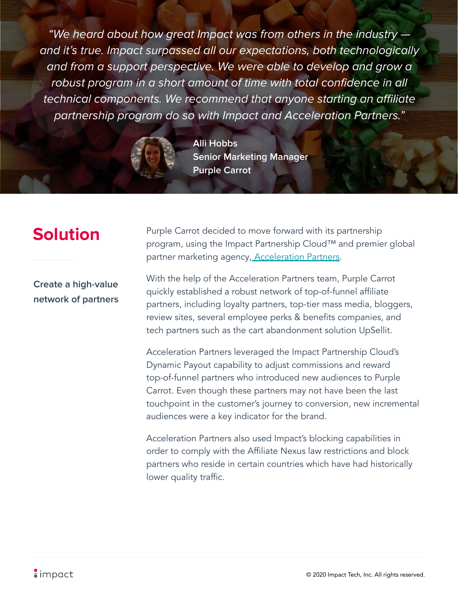"We heard about how great Impact was from others in the industry and it's true. Impact surpassed all our expectations, both technologically and from a support perspective. We were able to develop and grow a robust program in a short amount of time with total confidence in all technical components. We recommend that anyone starting an affiliate partnership program do so with Impact and Acceleration Partners."



**Alli Hobbs Senior Marketing Manager Purple Carrot**

**Create a high-value network of partners**

**Solution** Purple Carrot decided to move forward with its partnership program, using the Impact Partnership Cloud™ and premier global partner marketing agency, [Acceleration Partners.](https://www.accelerationpartners.com)

> With the help of the Acceleration Partners team, Purple Carrot quickly established a robust network of top-of-funnel affiliate partners, including loyalty partners, top-tier mass media, bloggers, review sites, several employee perks & benefits companies, and tech partners such as the cart abandonment solution UpSellit.

Acceleration Partners leveraged the Impact Partnership Cloud's Dynamic Payout capability to adjust commissions and reward top-of-funnel partners who introduced new audiences to Purple Carrot. Even though these partners may not have been the last touchpoint in the customer's journey to conversion, new incremental audiences were a key indicator for the brand.

Acceleration Partners also used Impact's blocking capabilities in order to comply with the Affiliate Nexus law restrictions and block partners who reside in certain countries which have had historically lower quality traffic.